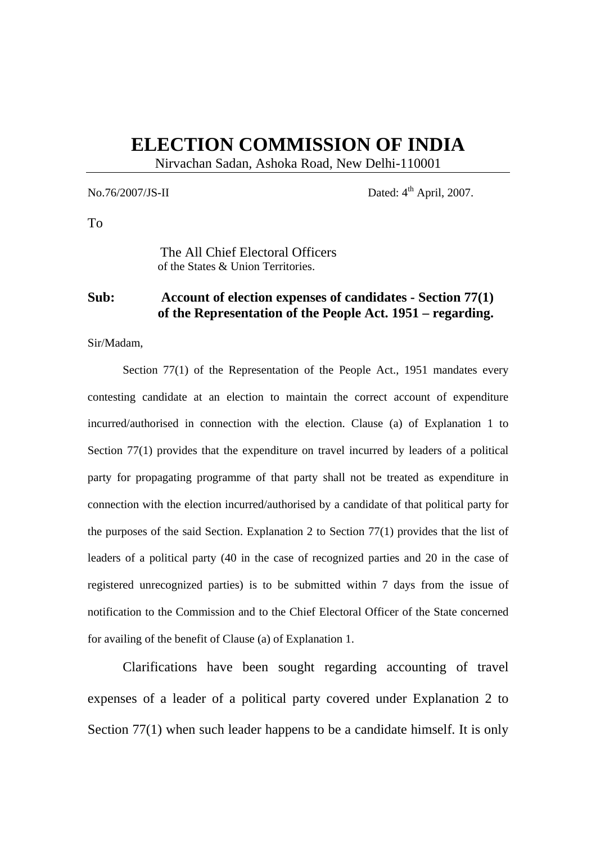## **ELECTION COMMISSION OF INDIA**

Nirvachan Sadan, Ashoka Road, New Delhi-110001

No.76/2007/JS-II Dated:  $4^{\text{th}}$  April, 2007.

To

The All Chief Electoral Officers of the States & Union Territories.

## **Sub: Account of election expenses of candidates - Section 77(1) of the Representation of the People Act. 1951 – regarding.**

Sir/Madam,

Section 77(1) of the Representation of the People Act., 1951 mandates every contesting candidate at an election to maintain the correct account of expenditure incurred/authorised in connection with the election. Clause (a) of Explanation 1 to Section 77(1) provides that the expenditure on travel incurred by leaders of a political party for propagating programme of that party shall not be treated as expenditure in connection with the election incurred/authorised by a candidate of that political party for the purposes of the said Section. Explanation 2 to Section 77(1) provides that the list of leaders of a political party (40 in the case of recognized parties and 20 in the case of registered unrecognized parties) is to be submitted within 7 days from the issue of notification to the Commission and to the Chief Electoral Officer of the State concerned for availing of the benefit of Clause (a) of Explanation 1.

 Clarifications have been sought regarding accounting of travel expenses of a leader of a political party covered under Explanation 2 to Section 77(1) when such leader happens to be a candidate himself. It is only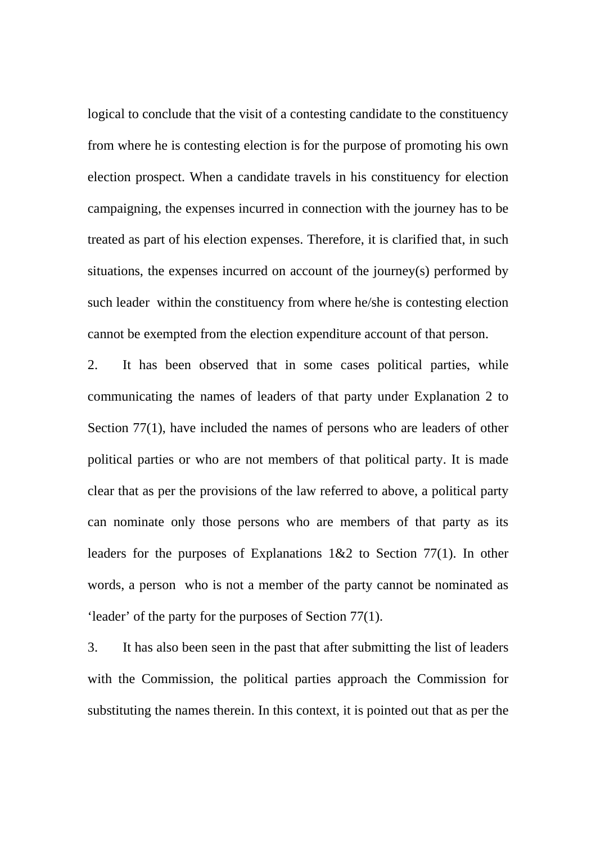logical to conclude that the visit of a contesting candidate to the constituency from where he is contesting election is for the purpose of promoting his own election prospect. When a candidate travels in his constituency for election campaigning, the expenses incurred in connection with the journey has to be treated as part of his election expenses. Therefore, it is clarified that, in such situations, the expenses incurred on account of the journey(s) performed by such leader within the constituency from where he/she is contesting election cannot be exempted from the election expenditure account of that person.

2. It has been observed that in some cases political parties, while communicating the names of leaders of that party under Explanation 2 to Section 77(1), have included the names of persons who are leaders of other political parties or who are not members of that political party. It is made clear that as per the provisions of the law referred to above, a political party can nominate only those persons who are members of that party as its leaders for the purposes of Explanations 1&2 to Section 77(1). In other words, a person who is not a member of the party cannot be nominated as 'leader' of the party for the purposes of Section 77(1).

3. It has also been seen in the past that after submitting the list of leaders with the Commission, the political parties approach the Commission for substituting the names therein. In this context, it is pointed out that as per the